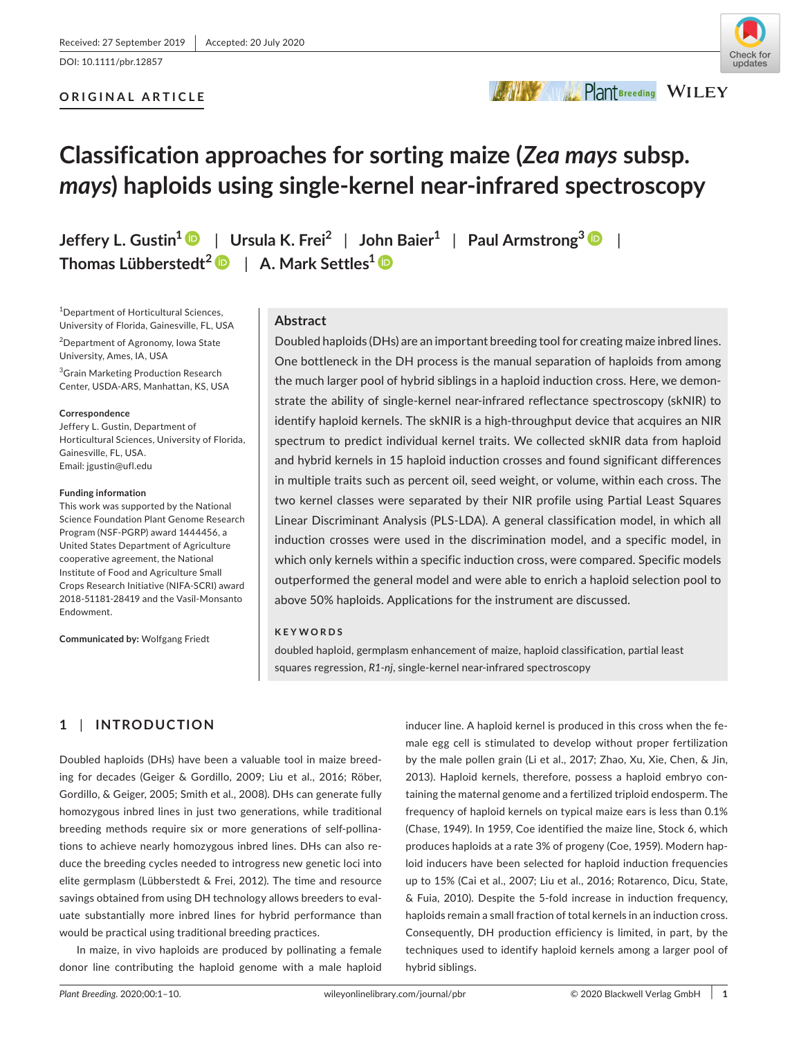DOI: 10.1111/pbr.12857

## **ORIGINAL ARTICLE**



**BAWWE PlantBreeding WILEY** 

# **Classification approaches for sorting maize (***Zea mays* **subsp.**  *mays***) haploids using single-kernel near-infrared spectroscopy**

**Jeffery L. Gustin[1](https://orcid.org/0000-0002-5913-0200)** | **Ursula K. Frei<sup>2</sup>** | **John Baier1** | **Paul Armstrong<sup>3</sup>** | **Thomas Lübberstedt<sup>2</sup>** | **A. Mark Settles1**

1 Department of Horticultural Sciences, University of Florida, Gainesville, FL, USA

2 Department of Agronomy, Iowa State University, Ames, IA, USA

<sup>3</sup>Grain Marketing Production Research Center, USDA-ARS, Manhattan, KS, USA

#### **Correspondence**

Jeffery L. Gustin, Department of Horticultural Sciences, University of Florida, Gainesville, FL, USA. Email: [jgustin@ufl.edu](mailto:jgustin@ufl.edu)

#### **Funding information**

This work was supported by the National Science Foundation Plant Genome Research Program (NSF-PGRP) award 1444456, a United States Department of Agriculture cooperative agreement, the National Institute of Food and Agriculture Small Crops Research Initiative (NIFA-SCRI) award 2018-51181-28419 and the Vasil-Monsanto Endowment.

**Communicated by:** Wolfgang Friedt

# **Abstract**

Doubled haploids (DHs) are an important breeding tool for creating maize inbred lines. One bottleneck in the DH process is the manual separation of haploids from among the much larger pool of hybrid siblings in a haploid induction cross. Here, we demonstrate the ability of single-kernel near-infrared reflectance spectroscopy (skNIR) to identify haploid kernels. The skNIR is a high-throughput device that acquires an NIR spectrum to predict individual kernel traits. We collected skNIR data from haploid and hybrid kernels in 15 haploid induction crosses and found significant differences in multiple traits such as percent oil, seed weight, or volume, within each cross. The two kernel classes were separated by their NIR profile using Partial Least Squares Linear Discriminant Analysis (PLS-LDA). A general classification model, in which all induction crosses were used in the discrimination model, and a specific model, in which only kernels within a specific induction cross, were compared. Specific models outperformed the general model and were able to enrich a haploid selection pool to above 50% haploids. Applications for the instrument are discussed.

#### **KEYWORDS**

doubled haploid, germplasm enhancement of maize, haploid classification, partial least squares regression, *R1-nj*, single-kernel near-infrared spectroscopy

# **1** | **INTRODUCTION**

Doubled haploids (DHs) have been a valuable tool in maize breeding for decades (Geiger & Gordillo, 2009; Liu et al., 2016; Röber, Gordillo, & Geiger, 2005; Smith et al., 2008). DHs can generate fully homozygous inbred lines in just two generations, while traditional breeding methods require six or more generations of self-pollinations to achieve nearly homozygous inbred lines. DHs can also reduce the breeding cycles needed to introgress new genetic loci into elite germplasm (Lübberstedt & Frei, 2012). The time and resource savings obtained from using DH technology allows breeders to evaluate substantially more inbred lines for hybrid performance than would be practical using traditional breeding practices.

In maize, in vivo haploids are produced by pollinating a female donor line contributing the haploid genome with a male haploid

inducer line. A haploid kernel is produced in this cross when the female egg cell is stimulated to develop without proper fertilization by the male pollen grain (Li et al., 2017; Zhao, Xu, Xie, Chen, & Jin, 2013). Haploid kernels, therefore, possess a haploid embryo containing the maternal genome and a fertilized triploid endosperm. The frequency of haploid kernels on typical maize ears is less than 0.1% (Chase, 1949). In 1959, Coe identified the maize line, Stock 6, which produces haploids at a rate 3% of progeny (Coe, 1959). Modern haploid inducers have been selected for haploid induction frequencies up to 15% (Cai et al., 2007; Liu et al., 2016; Rotarenco, Dicu, State, & Fuia, 2010). Despite the 5-fold increase in induction frequency, haploids remain a small fraction of total kernels in an induction cross. Consequently, DH production efficiency is limited, in part, by the techniques used to identify haploid kernels among a larger pool of hybrid siblings.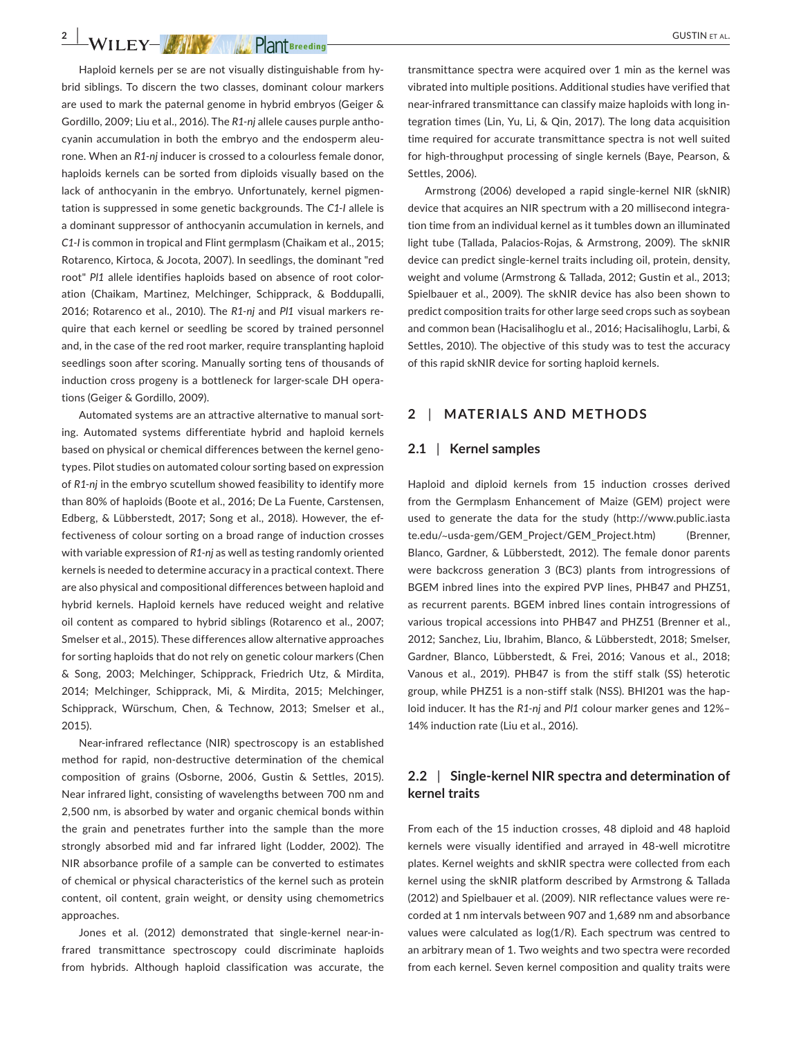**2 WILEY- AMY PRIMERED PRIMERED** GUSTIN ET AL.

Haploid kernels per se are not visually distinguishable from hybrid siblings. To discern the two classes, dominant colour markers are used to mark the paternal genome in hybrid embryos (Geiger & Gordillo, 2009; Liu et al., 2016). The *R1-nj* allele causes purple anthocyanin accumulation in both the embryo and the endosperm aleurone. When an *R1-nj* inducer is crossed to a colourless female donor, haploids kernels can be sorted from diploids visually based on the lack of anthocyanin in the embryo. Unfortunately, kernel pigmentation is suppressed in some genetic backgrounds. The *C1-I* allele is a dominant suppressor of anthocyanin accumulation in kernels, and *C1-I* is common in tropical and Flint germplasm (Chaikam et al., 2015; Rotarenco, Kirtoca, & Jocota, 2007). In seedlings, the dominant "red root" *Pl1* allele identifies haploids based on absence of root coloration (Chaikam, Martinez, Melchinger, Schipprack, & Boddupalli, 2016; Rotarenco et al., 2010). The *R1-nj* and *Pl1* visual markers require that each kernel or seedling be scored by trained personnel and, in the case of the red root marker, require transplanting haploid seedlings soon after scoring. Manually sorting tens of thousands of induction cross progeny is a bottleneck for larger-scale DH operations (Geiger & Gordillo, 2009).

Automated systems are an attractive alternative to manual sorting. Automated systems differentiate hybrid and haploid kernels based on physical or chemical differences between the kernel genotypes. Pilot studies on automated colour sorting based on expression of *R1-nj* in the embryo scutellum showed feasibility to identify more than 80% of haploids (Boote et al., 2016; De La Fuente, Carstensen, Edberg, & Lübberstedt, 2017; Song et al., 2018). However, the effectiveness of colour sorting on a broad range of induction crosses with variable expression of *R1-nj* as well as testing randomly oriented kernels is needed to determine accuracy in a practical context. There are also physical and compositional differences between haploid and hybrid kernels. Haploid kernels have reduced weight and relative oil content as compared to hybrid siblings (Rotarenco et al., 2007; Smelser et al., 2015). These differences allow alternative approaches for sorting haploids that do not rely on genetic colour markers (Chen & Song, 2003; Melchinger, Schipprack, Friedrich Utz, & Mirdita, 2014; Melchinger, Schipprack, Mi, & Mirdita, 2015; Melchinger, Schipprack, Würschum, Chen, & Technow, 2013; Smelser et al., 2015).

Near-infrared reflectance (NIR) spectroscopy is an established method for rapid, non-destructive determination of the chemical composition of grains (Osborne, 2006, Gustin & Settles, 2015). Near infrared light, consisting of wavelengths between 700 nm and 2,500 nm, is absorbed by water and organic chemical bonds within the grain and penetrates further into the sample than the more strongly absorbed mid and far infrared light (Lodder, 2002). The NIR absorbance profile of a sample can be converted to estimates of chemical or physical characteristics of the kernel such as protein content, oil content, grain weight, or density using chemometrics approaches.

Jones et al. (2012) demonstrated that single-kernel near-infrared transmittance spectroscopy could discriminate haploids from hybrids. Although haploid classification was accurate, the

transmittance spectra were acquired over 1 min as the kernel was vibrated into multiple positions. Additional studies have verified that near-infrared transmittance can classify maize haploids with long integration times (Lin, Yu, Li, & Qin, 2017). The long data acquisition time required for accurate transmittance spectra is not well suited for high-throughput processing of single kernels (Baye, Pearson, & Settles, 2006).

Armstrong (2006) developed a rapid single-kernel NIR (skNIR) device that acquires an NIR spectrum with a 20 millisecond integration time from an individual kernel as it tumbles down an illuminated light tube (Tallada, Palacios-Rojas, & Armstrong, 2009). The skNIR device can predict single-kernel traits including oil, protein, density, weight and volume (Armstrong & Tallada, 2012; Gustin et al., 2013; Spielbauer et al., 2009). The skNIR device has also been shown to predict composition traits for other large seed crops such as soybean and common bean (Hacisalihoglu et al., 2016; Hacisalihoglu, Larbi, & Settles, 2010). The objective of this study was to test the accuracy of this rapid skNIR device for sorting haploid kernels.

# **2** | **MATERIALS AND METHODS**

#### **2.1** | **Kernel samples**

Haploid and diploid kernels from 15 induction crosses derived from the Germplasm Enhancement of Maize (GEM) project were used to generate the data for the study ([http://www.public.iasta](http://www.public.iastate.edu/%7Eusda-gem/GEM_Project/GEM_Project.htm) te.edu/~[usda-gem/GEM\\_Project/GEM\\_Project.htm](http://www.public.iastate.edu/%7Eusda-gem/GEM_Project/GEM_Project.htm)) (Brenner, Blanco, Gardner, & Lübberstedt, 2012). The female donor parents were backcross generation 3 (BC3) plants from introgressions of BGEM inbred lines into the expired PVP lines, PHB47 and PHZ51, as recurrent parents. BGEM inbred lines contain introgressions of various tropical accessions into PHB47 and PHZ51 (Brenner et al., 2012; Sanchez, Liu, Ibrahim, Blanco, & Lübberstedt, 2018; Smelser, Gardner, Blanco, Lübberstedt, & Frei, 2016; Vanous et al., 2018; Vanous et al., 2019). PHB47 is from the stiff stalk (SS) heterotic group, while PHZ51 is a non-stiff stalk (NSS). BHI201 was the haploid inducer. It has the *R1-nj* and *Pl1* colour marker genes and 12%– 14% induction rate (Liu et al., 2016).

## **2.2** | **Single-kernel NIR spectra and determination of kernel traits**

From each of the 15 induction crosses, 48 diploid and 48 haploid kernels were visually identified and arrayed in 48-well microtitre plates. Kernel weights and skNIR spectra were collected from each kernel using the skNIR platform described by Armstrong & Tallada (2012) and Spielbauer et al. (2009). NIR reflectance values were recorded at 1 nm intervals between 907 and 1,689 nm and absorbance values were calculated as log(1/R). Each spectrum was centred to an arbitrary mean of 1. Two weights and two spectra were recorded from each kernel. Seven kernel composition and quality traits were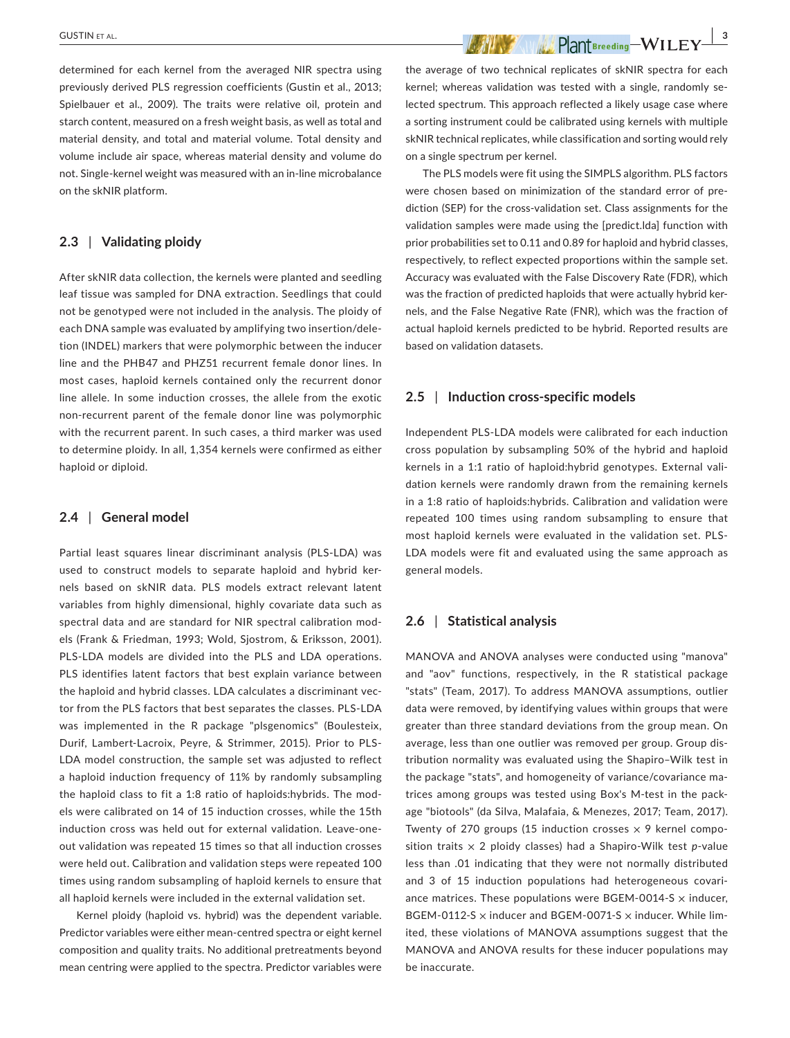**GUSTIN** ET AL.  **All the second contracts to the second contract of the second contract of the second contract of the second contracts of the second contracts of the second contracts of the second contracts of the second** 

determined for each kernel from the averaged NIR spectra using previously derived PLS regression coefficients (Gustin et al., 2013; Spielbauer et al., 2009). The traits were relative oil, protein and starch content, measured on a fresh weight basis, as well as total and material density, and total and material volume. Total density and volume include air space, whereas material density and volume do not. Single-kernel weight was measured with an in-line microbalance on the skNIR platform.

#### **2.3** | **Validating ploidy**

After skNIR data collection, the kernels were planted and seedling leaf tissue was sampled for DNA extraction. Seedlings that could not be genotyped were not included in the analysis. The ploidy of each DNA sample was evaluated by amplifying two insertion/deletion (INDEL) markers that were polymorphic between the inducer line and the PHB47 and PHZ51 recurrent female donor lines. In most cases, haploid kernels contained only the recurrent donor line allele. In some induction crosses, the allele from the exotic non-recurrent parent of the female donor line was polymorphic with the recurrent parent. In such cases, a third marker was used to determine ploidy. In all, 1,354 kernels were confirmed as either haploid or diploid.

#### **2.4** | **General model**

Partial least squares linear discriminant analysis (PLS-LDA) was used to construct models to separate haploid and hybrid kernels based on skNIR data. PLS models extract relevant latent variables from highly dimensional, highly covariate data such as spectral data and are standard for NIR spectral calibration models (Frank & Friedman, 1993; Wold, Sjostrom, & Eriksson, 2001). PLS-LDA models are divided into the PLS and LDA operations. PLS identifies latent factors that best explain variance between the haploid and hybrid classes. LDA calculates a discriminant vector from the PLS factors that best separates the classes. PLS-LDA was implemented in the R package "plsgenomics" (Boulesteix, Durif, Lambert-Lacroix, Peyre, & Strimmer, 2015). Prior to PLS-LDA model construction, the sample set was adjusted to reflect a haploid induction frequency of 11% by randomly subsampling the haploid class to fit a 1:8 ratio of haploids:hybrids. The models were calibrated on 14 of 15 induction crosses, while the 15th induction cross was held out for external validation. Leave-oneout validation was repeated 15 times so that all induction crosses were held out. Calibration and validation steps were repeated 100 times using random subsampling of haploid kernels to ensure that all haploid kernels were included in the external validation set.

Kernel ploidy (haploid vs. hybrid) was the dependent variable. Predictor variables were either mean-centred spectra or eight kernel composition and quality traits. No additional pretreatments beyond mean centring were applied to the spectra. Predictor variables were the average of two technical replicates of skNIR spectra for each kernel; whereas validation was tested with a single, randomly selected spectrum. This approach reflected a likely usage case where a sorting instrument could be calibrated using kernels with multiple skNIR technical replicates, while classification and sorting would rely on a single spectrum per kernel.

The PLS models were fit using the SIMPLS algorithm. PLS factors were chosen based on minimization of the standard error of prediction (SEP) for the cross-validation set. Class assignments for the validation samples were made using the [predict.lda] function with prior probabilities set to 0.11 and 0.89 for haploid and hybrid classes, respectively, to reflect expected proportions within the sample set. Accuracy was evaluated with the False Discovery Rate (FDR), which was the fraction of predicted haploids that were actually hybrid kernels, and the False Negative Rate (FNR), which was the fraction of actual haploid kernels predicted to be hybrid. Reported results are based on validation datasets.

#### **2.5** | **Induction cross-specific models**

Independent PLS-LDA models were calibrated for each induction cross population by subsampling 50% of the hybrid and haploid kernels in a 1:1 ratio of haploid:hybrid genotypes. External validation kernels were randomly drawn from the remaining kernels in a 1:8 ratio of haploids:hybrids. Calibration and validation were repeated 100 times using random subsampling to ensure that most haploid kernels were evaluated in the validation set. PLS-LDA models were fit and evaluated using the same approach as general models.

#### **2.6** | **Statistical analysis**

MANOVA and ANOVA analyses were conducted using "manova" and "aov" functions, respectively, in the R statistical package "stats" (Team, 2017). To address MANOVA assumptions, outlier data were removed, by identifying values within groups that were greater than three standard deviations from the group mean. On average, less than one outlier was removed per group. Group distribution normality was evaluated using the Shapiro–Wilk test in the package "stats", and homogeneity of variance/covariance matrices among groups was tested using Box's M-test in the package "biotools" (da Silva, Malafaia, & Menezes, 2017; Team, 2017). Twenty of 270 groups (15 induction crosses  $\times$  9 kernel composition traits  $\times$  2 ploidy classes) had a Shapiro-Wilk test  $p$ -value less than .01 indicating that they were not normally distributed and 3 of 15 induction populations had heterogeneous covariance matrices. These populations were BGEM-0014-S  $\times$  inducer, BGEM-0112-S  $\times$  inducer and BGEM-0071-S  $\times$  inducer. While limited, these violations of MANOVA assumptions suggest that the MANOVA and ANOVA results for these inducer populations may be inaccurate.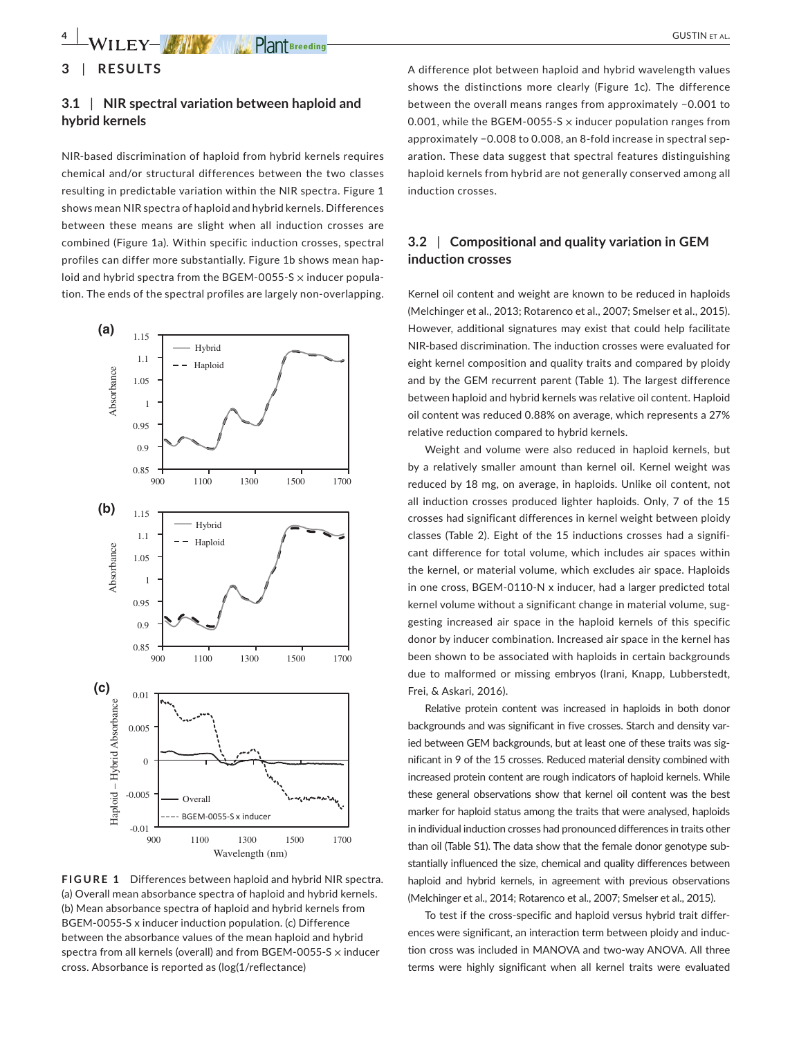# **3** | **RESULTS**

## **3.1** | **NIR spectral variation between haploid and hybrid kernels**

NIR-based discrimination of haploid from hybrid kernels requires chemical and/or structural differences between the two classes resulting in predictable variation within the NIR spectra. Figure 1 shows mean NIR spectra of haploid and hybrid kernels. Differences between these means are slight when all induction crosses are combined (Figure 1a). Within specific induction crosses, spectral profiles can differ more substantially. Figure 1b shows mean haploid and hybrid spectra from the BGEM-0055-S  $\times$  inducer population. The ends of the spectral profiles are largely non-overlapping.



**FIGURE 1** Differences between haploid and hybrid NIR spectra. (a) Overall mean absorbance spectra of haploid and hybrid kernels. (b) Mean absorbance spectra of haploid and hybrid kernels from BGEM-0055-S x inducer induction population. (c) Difference between the absorbance values of the mean haploid and hybrid spectra from all kernels (overall) and from BGEM-0055-S × inducer cross. Absorbance is reported as (log(1/reflectance)

A difference plot between haploid and hybrid wavelength values shows the distinctions more clearly (Figure 1c). The difference between the overall means ranges from approximately −0.001 to 0.001, while the BGEM-0055-S  $\times$  inducer population ranges from approximately −0.008 to 0.008, an 8-fold increase in spectral separation. These data suggest that spectral features distinguishing haploid kernels from hybrid are not generally conserved among all induction crosses.

## **3.2** | **Compositional and quality variation in GEM induction crosses**

Kernel oil content and weight are known to be reduced in haploids (Melchinger et al., 2013; Rotarenco et al., 2007; Smelser et al., 2015). However, additional signatures may exist that could help facilitate NIR-based discrimination. The induction crosses were evaluated for eight kernel composition and quality traits and compared by ploidy and by the GEM recurrent parent (Table 1). The largest difference between haploid and hybrid kernels was relative oil content. Haploid oil content was reduced 0.88% on average, which represents a 27% relative reduction compared to hybrid kernels.

Weight and volume were also reduced in haploid kernels, but by a relatively smaller amount than kernel oil. Kernel weight was reduced by 18 mg, on average, in haploids. Unlike oil content, not all induction crosses produced lighter haploids. Only, 7 of the 15 crosses had significant differences in kernel weight between ploidy classes (Table 2). Eight of the 15 inductions crosses had a significant difference for total volume, which includes air spaces within the kernel, or material volume, which excludes air space. Haploids in one cross, BGEM-0110-N x inducer, had a larger predicted total kernel volume without a significant change in material volume, suggesting increased air space in the haploid kernels of this specific donor by inducer combination. Increased air space in the kernel has been shown to be associated with haploids in certain backgrounds due to malformed or missing embryos (Irani, Knapp, Lubberstedt, Frei, & Askari, 2016).

Relative protein content was increased in haploids in both donor backgrounds and was significant in five crosses. Starch and density varied between GEM backgrounds, but at least one of these traits was significant in 9 of the 15 crosses. Reduced material density combined with increased protein content are rough indicators of haploid kernels. While these general observations show that kernel oil content was the best marker for haploid status among the traits that were analysed, haploids in individual induction crosses had pronounced differences in traits other than oil (Table S1). The data show that the female donor genotype substantially influenced the size, chemical and quality differences between haploid and hybrid kernels, in agreement with previous observations (Melchinger et al., 2014; Rotarenco et al., 2007; Smelser et al., 2015).

To test if the cross-specific and haploid versus hybrid trait differences were significant, an interaction term between ploidy and induction cross was included in MANOVA and two-way ANOVA. All three terms were highly significant when all kernel traits were evaluated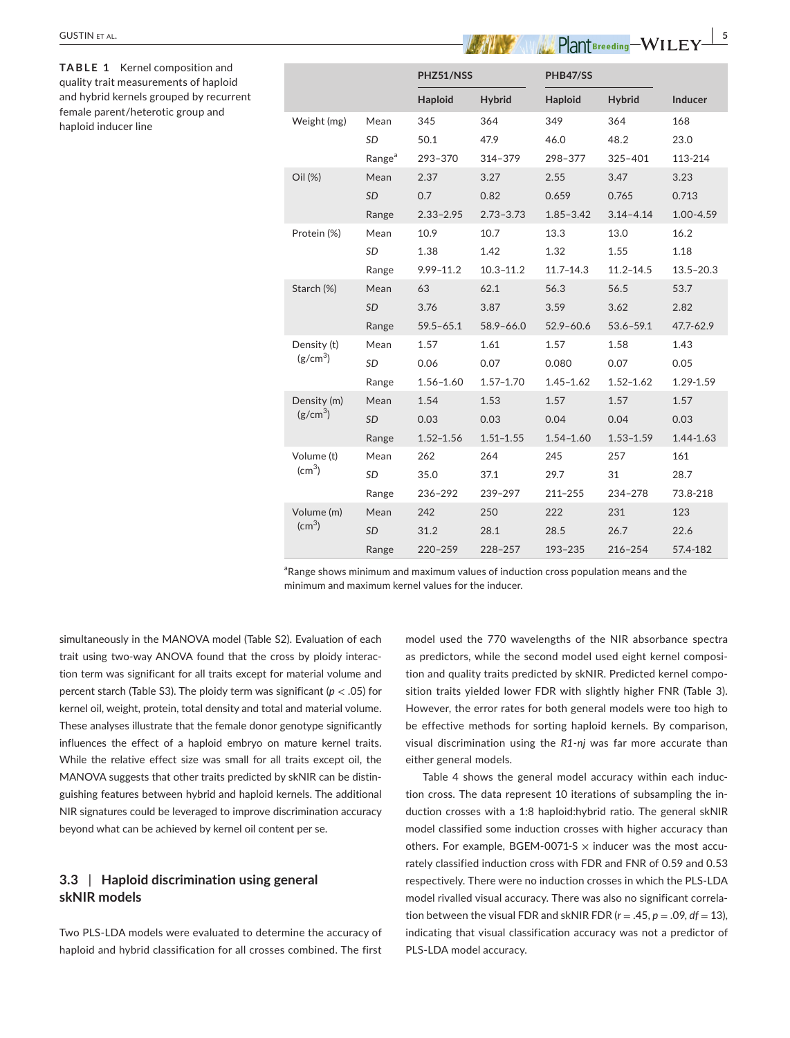|                                                                              |                                                                                                                                                       | Range                                                      | $1.52 - 1.56$          | $1.51 - 1.55$ | $1.54 - 1.60$  | $1.53 - 1.59$                                                | 1.4  |
|------------------------------------------------------------------------------|-------------------------------------------------------------------------------------------------------------------------------------------------------|------------------------------------------------------------|------------------------|---------------|----------------|--------------------------------------------------------------|------|
|                                                                              | Volume (t)<br>$\text{(cm}^3\text{)}$                                                                                                                  | Mean                                                       | 262                    | 264           | 245            | 257                                                          | 161  |
|                                                                              |                                                                                                                                                       | <b>SD</b>                                                  | 35.0                   | 37.1          | 29.7           | 31                                                           | 28.  |
|                                                                              |                                                                                                                                                       | Range                                                      | 236-292                | 239-297       | 211-255        | 234-278                                                      | 73.  |
|                                                                              | Volume (m)                                                                                                                                            | Mean                                                       | 242                    | 250           | 222            | 231                                                          | 123  |
|                                                                              | $\text{(cm}^3\text{)}$                                                                                                                                | <b>SD</b>                                                  | 31.2                   | 28.1          | 28.5           | 26.7                                                         | 22.  |
|                                                                              |                                                                                                                                                       | Range                                                      | $220 - 259$            | 228-257       | 193-235        | 216-254                                                      | 57.4 |
|                                                                              | <sup>a</sup> Range shows minimum and maximum values of induction cross population means and the<br>minimum and maximum kernel values for the inducer. |                                                            |                        |               |                |                                                              |      |
| simultaneously in the MANOVA model (Table S2). Evaluation of each            |                                                                                                                                                       |                                                            |                        |               |                | model used the 770 wavelengths of the NIR absorbance         |      |
| trait using two-way ANOVA found that the cross by ploidy interac-            |                                                                                                                                                       |                                                            |                        |               |                | as predictors, while the second model used eight kernel of   |      |
| tion term was significant for all traits except for material volume and      |                                                                                                                                                       |                                                            |                        |               |                | tion and quality traits predicted by skNIR. Predicted kernel |      |
| percent starch (Table S3). The ploidy term was significant ( $p < .05$ ) for |                                                                                                                                                       |                                                            |                        |               |                | sition traits yielded lower FDR with slightly higher FNR (   |      |
| kernel oil, weight, protein, total density and total and material volume.    |                                                                                                                                                       |                                                            |                        |               |                | However, the error rates for both general models were too    |      |
| These analyses illustrate that the female donor genotype significantly       |                                                                                                                                                       |                                                            |                        |               |                | be effective methods for sorting haploid kernels. By com     |      |
| influences the effect of a haploid embryo on mature kernel traits.           |                                                                                                                                                       |                                                            |                        |               |                | visual discrimination using the R1-nj was far more accur-    |      |
| While the relative effect size was small for all traits except oil, the      |                                                                                                                                                       |                                                            | either general models. |               |                |                                                              |      |
| MANOVA suggests that other traits predicted by skNIR can be distin-          |                                                                                                                                                       |                                                            |                        |               |                | Table 4 shows the general model accuracy within eac          |      |
| guishing features between hybrid and haploid kernels. The additional         |                                                                                                                                                       |                                                            |                        |               |                | tion cross. The data represent 10 iterations of subsampling  |      |
| NIR signatures could be leveraged to improve discrimination accuracy         |                                                                                                                                                       |                                                            |                        |               |                | duction crosses with a 1:8 haploid: hybrid ratio. The gener  |      |
| beyond what can be achieved by kernel oil content per se.                    |                                                                                                                                                       | model classified some induction crosses with higher accur- |                        |               |                |                                                              |      |
|                                                                              |                                                                                                                                                       |                                                            |                        |               | $\blacksquare$ |                                                              |      |

# **3.3** | **Haploid discrimination using general skNIR models**

Two PLS-LDA models were evaluated to determine the accuracy of haploid and hybrid classification for all crosses combined. The first model used the 770 wavelengths of the NIR absorbance spectra as predictors, while the second model used eight kernel composition and quality traits predicted by skNIR. Predicted kernel composition traits yielded lower FDR with slightly higher FNR (Table 3). However, the error rates for both general models were too high to be effective methods for sorting haploid kernels. By comparison, visual discrimination using the *R1-nj* was far more accurate than either general models.

Table 4 shows the general model accuracy within each induction cross. The data represent 10 iterations of subsampling the induction crosses with a 1:8 haploid:hybrid ratio. The general skNIR model classified some induction crosses with higher accuracy than others. For example, BGEM-0071-S  $\times$  inducer was the most accurately classified induction cross with FDR and FNR of 0.59 and 0.53 respectively. There were no induction crosses in which the PLS-LDA model rivalled visual accuracy. There was also no significant correlation between the visual FDR and skNIR FDR  $(r = .45, p = .09, df = 13)$ , indicating that visual classification accuracy was not a predictor of PLS-LDA model accuracy.

| <b>GUSTIN ET AL.</b>                                                                                                                                                                   |                        |                    |               |               |               | Plant Breeding-WILEY- | 5             |
|----------------------------------------------------------------------------------------------------------------------------------------------------------------------------------------|------------------------|--------------------|---------------|---------------|---------------|-----------------------|---------------|
| <b>TABLE 1</b> Kernel composition and<br>quality trait measurements of haploid<br>and hybrid kernels grouped by recurrent<br>female parent/heterotic group and<br>haploid inducer line |                        |                    | PHZ51/NSS     |               | PHB47/SS      |                       |               |
|                                                                                                                                                                                        |                        |                    | Haploid       | <b>Hybrid</b> | Haploid       | <b>Hybrid</b>         | Inducer       |
|                                                                                                                                                                                        | Weight (mg)            | Mean               | 345           | 364           | 349           | 364                   | 168           |
|                                                                                                                                                                                        |                        | <b>SD</b>          | 50.1          | 47.9          | 46.0          | 48.2                  | 23.0          |
|                                                                                                                                                                                        |                        | Range <sup>a</sup> | 293-370       | 314-379       | 298-377       | $325 - 401$           | 113-214       |
|                                                                                                                                                                                        | Oil (%)                | Mean               | 2.37          | 3.27          | 2.55          | 3.47                  | 3.23          |
|                                                                                                                                                                                        |                        | SD                 | 0.7           | 0.82          | 0.659         | 0.765                 | 0.713         |
|                                                                                                                                                                                        |                        | Range              | $2.33 - 2.95$ | $2.73 - 3.73$ | $1.85 - 3.42$ | $3.14 - 4.14$         | 1.00-4.59     |
|                                                                                                                                                                                        | Protein (%)            | Mean               | 10.9          | 10.7          | 13.3          | 13.0                  | 16.2          |
|                                                                                                                                                                                        |                        | SD                 | 1.38          | 1.42          | 1.32          | 1.55                  | 1.18          |
|                                                                                                                                                                                        |                        | Range              | $9.99 - 11.2$ | $10.3 - 11.2$ | $11.7 - 14.3$ | $11.2 - 14.5$         | $13.5 - 20.3$ |
|                                                                                                                                                                                        | Starch (%)             | Mean               | 63            | 62.1          | 56.3          | 56.5                  | 53.7          |
|                                                                                                                                                                                        |                        | <b>SD</b>          | 3.76          | 3.87          | 3.59          | 3.62                  | 2.82          |
|                                                                                                                                                                                        |                        | Range              | $59.5 - 65.1$ | $58.9 - 66.0$ | $52.9 - 60.6$ | $53.6 - 59.1$         | 47.7-62.9     |
|                                                                                                                                                                                        | Density (t)            | Mean               | 1.57          | 1.61          | 1.57          | 1.58                  | 1.43          |
|                                                                                                                                                                                        | (g/cm <sup>3</sup> )   | SD                 | 0.06          | 0.07          | 0.080         | 0.07                  | 0.05          |
|                                                                                                                                                                                        |                        | Range              | $1.56 - 1.60$ | $1.57 - 1.70$ | $1.45 - 1.62$ | $1.52 - 1.62$         | 1.29-1.59     |
|                                                                                                                                                                                        | Density (m)            | Mean               | 1.54          | 1.53          | 1.57          | 1.57                  | 1.57          |
|                                                                                                                                                                                        | (g/cm <sup>3</sup> )   | SD                 | 0.03          | 0.03          | 0.04          | 0.04                  | 0.03          |
|                                                                                                                                                                                        |                        | Range              | $1.52 - 1.56$ | $1.51 - 1.55$ | $1.54 - 1.60$ | $1.53 - 1.59$         | 1.44-1.63     |
|                                                                                                                                                                                        | Volume (t)             | Mean               | 262           | 264           | 245           | 257                   | 161           |
|                                                                                                                                                                                        | $\text{(cm}^3\text{)}$ | SD                 | 35.0          | 37.1          | 29.7          | 31                    | 28.7          |
|                                                                                                                                                                                        |                        | Range              | 236-292       | 239-297       | 211-255       | 234-278               | 73.8-218      |
|                                                                                                                                                                                        | Volume (m)             | Mean               | 242           | 250           | 222           | 231                   | 123           |
|                                                                                                                                                                                        | $\text{(cm}^3)$        | SD                 | 31.2          | 28.1          | 28.5          | 26.7                  | 22.6          |
|                                                                                                                                                                                        |                        | Range              | 220-259       | 228-257       | 193-235       | 216-254               | 57.4-182      |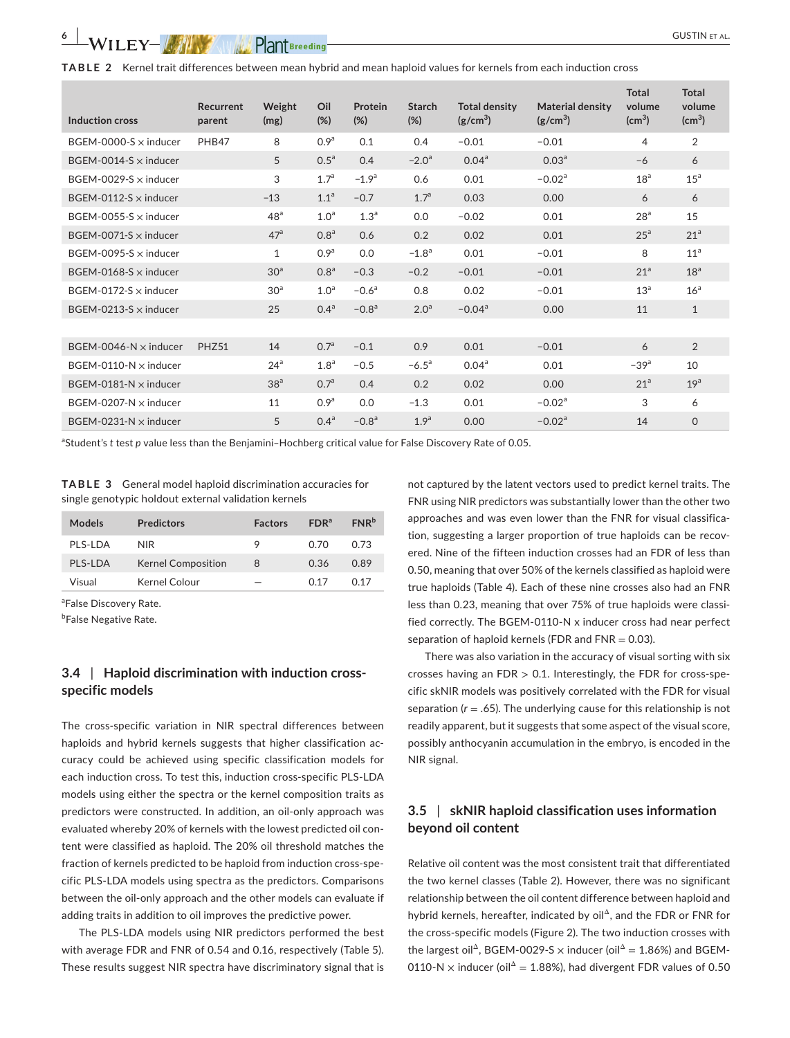| <b>TABLE 2</b> Kernel trait differences between mean hybrid and mean haploid values for kernels from each induction cross |  |
|---------------------------------------------------------------------------------------------------------------------------|--|
|---------------------------------------------------------------------------------------------------------------------------|--|

|                              | Recurrent | Weight          | Oil              | Protein          | <b>Starch</b>    | <b>Total density</b> | <b>Material density</b> | <b>Total</b><br>volume | <b>Total</b><br>volume |
|------------------------------|-----------|-----------------|------------------|------------------|------------------|----------------------|-------------------------|------------------------|------------------------|
| Induction cross              | parent    | (mg)            | (%)              | (%)              | (%)              | (g/cm <sup>3</sup> ) | $(g/cm^3)$              | $\text{(cm}^3)$        | $\text{(cm}^3)$        |
| BGEM-0000-S $\times$ inducer | PHB47     | 8               | 0.9 <sup>a</sup> | 0.1              | 0.4              | $-0.01$              | $-0.01$                 | 4                      | 2                      |
| BGEM-0014-S $\times$ inducer |           | 5               | 0.5 <sup>a</sup> | 0.4              | $-2.0a$          | 0.04 <sup>a</sup>    | 0.03 <sup>a</sup>       | $-6$                   | 6                      |
| BGEM-0029-S $\times$ inducer |           | 3               | 1.7 <sup>a</sup> | $-1.9a$          | 0.6              | 0.01                 | $-0.02a$                | 18 <sup>a</sup>        | 15 <sup>a</sup>        |
| BGEM-0112-S $\times$ inducer |           | $-13$           | 1.1 <sup>a</sup> | $-0.7$           | 1.7 <sup>a</sup> | 0.03                 | 0.00                    | 6                      | 6                      |
| BGEM-0055-S $\times$ inducer |           | 48 <sup>a</sup> | 1.0 <sup>a</sup> | 1.3 <sup>a</sup> | 0.0              | $-0.02$              | 0.01                    | 28 <sup>a</sup>        | 15                     |
| BGEM-0071-S $\times$ inducer |           | 47 <sup>a</sup> | 0.8 <sup>a</sup> | 0.6              | 0.2              | 0.02                 | 0.01                    | 25 <sup>a</sup>        | 21 <sup>a</sup>        |
| BGEM-0095-S $\times$ inducer |           | 1               | 0.9 <sup>a</sup> | 0.0              | $-1.8a$          | 0.01                 | $-0.01$                 | 8                      | 11 <sup>a</sup>        |
| BGEM-0168-S $\times$ inducer |           | 30 <sup>a</sup> | 0.8 <sup>a</sup> | $-0.3$           | $-0.2$           | $-0.01$              | $-0.01$                 | 21 <sup>a</sup>        | 18 <sup>a</sup>        |
| BGEM-0172-S $\times$ inducer |           | 30 <sup>a</sup> | 1.0 <sup>a</sup> | $-0.6a$          | 0.8              | 0.02                 | $-0.01$                 | 13 <sup>a</sup>        | 16 <sup>a</sup>        |
| BGEM-0213-S $\times$ inducer |           | 25              | 0.4 <sup>a</sup> | $-0.8a$          | 2.0 <sup>a</sup> | $-0.04$ <sup>a</sup> | 0.00                    | 11                     | $\mathbf{1}$           |
|                              |           |                 |                  |                  |                  |                      |                         |                        |                        |
| BGEM-0046-N $\times$ inducer | PHZ51     | 14              | 0.7 <sup>a</sup> | $-0.1$           | 0.9              | 0.01                 | $-0.01$                 | 6                      | $\overline{2}$         |
| BGEM-0110-N $\times$ inducer |           | 24 <sup>a</sup> | 1.8 <sup>a</sup> | $-0.5$           | $-6.5^{\circ}$   | 0.04 <sup>a</sup>    | 0.01                    | $-39a$                 | 10                     |
| BGEM-0181-N $\times$ inducer |           | 38 <sup>a</sup> | 0.7 <sup>a</sup> | 0.4              | 0.2              | 0.02                 | 0.00                    | 21 <sup>a</sup>        | 19 <sup>a</sup>        |
| BGEM-0207-N $\times$ inducer |           | 11              | 0.9 <sup>a</sup> | 0.0              | $-1.3$           | 0.01                 | $-0.02a$                | 3                      | 6                      |
| BGEM-0231-N $\times$ inducer |           | 5               | 0.4 <sup>a</sup> | $-0.8a$          | 1.9 <sup>a</sup> | 0.00                 | $-0.02a$                | 14                     | $\Omega$               |

a Student's *t* test *p* value less than the Benjamini–Hochberg critical value for False Discovery Rate of 0.05.

**TABLE 3** General model haploid discrimination accuracies for single genotypic holdout external validation kernels

| <b>Predictors</b>         | <b>Factors</b> | FDR <sup>a</sup> | $FNR^b$ |
|---------------------------|----------------|------------------|---------|
| NIR.                      | 9              | 0.70             | 0.73    |
| <b>Kernel Composition</b> | 8              | 0.36             | 0.89    |
| Kernel Colour             |                | O 17             | በ 17    |
|                           |                |                  |         |

<sup>a</sup>False Discovery Rate.

<sup>b</sup>False Negative Rate.

## **3.4** | **Haploid discrimination with induction crossspecific models**

The cross-specific variation in NIR spectral differences between haploids and hybrid kernels suggests that higher classification accuracy could be achieved using specific classification models for each induction cross. To test this, induction cross-specific PLS-LDA models using either the spectra or the kernel composition traits as predictors were constructed. In addition, an oil-only approach was evaluated whereby 20% of kernels with the lowest predicted oil content were classified as haploid. The 20% oil threshold matches the fraction of kernels predicted to be haploid from induction cross-specific PLS-LDA models using spectra as the predictors. Comparisons between the oil-only approach and the other models can evaluate if adding traits in addition to oil improves the predictive power.

The PLS-LDA models using NIR predictors performed the best with average FDR and FNR of 0.54 and 0.16, respectively (Table 5). These results suggest NIR spectra have discriminatory signal that is

not captured by the latent vectors used to predict kernel traits. The FNR using NIR predictors was substantially lower than the other two approaches and was even lower than the FNR for visual classification, suggesting a larger proportion of true haploids can be recovered. Nine of the fifteen induction crosses had an FDR of less than 0.50, meaning that over 50% of the kernels classified as haploid were true haploids (Table 4). Each of these nine crosses also had an FNR less than 0.23, meaning that over 75% of true haploids were classified correctly. The BGEM-0110-N x inducer cross had near perfect separation of haploid kernels (FDR and  $FNR = 0.03$ ).

There was also variation in the accuracy of visual sorting with six crosses having an  $FDR > 0.1$ . Interestingly, the FDR for cross-specific skNIR models was positively correlated with the FDR for visual separation  $(r = .65)$ . The underlying cause for this relationship is not readily apparent, but it suggests that some aspect of the visual score, possibly anthocyanin accumulation in the embryo, is encoded in the NIR signal.

# **3.5** | **skNIR haploid classification uses information beyond oil content**

Relative oil content was the most consistent trait that differentiated the two kernel classes (Table 2). However, there was no significant relationship between the oil content difference between haploid and hybrid kernels, hereafter, indicated by oil<sup>Δ</sup>, and the FDR or FNR for the cross-specific models (Figure 2). The two induction crosses with the largest oil<sup>Δ</sup>, BGEM-0029-S  $\times$  inducer (oil<sup>Δ</sup> = 1.86%) and BGEM-0110-N x inducer (oil<sup> $\Delta$ </sup> = 1.88%), had divergent FDR values of 0.50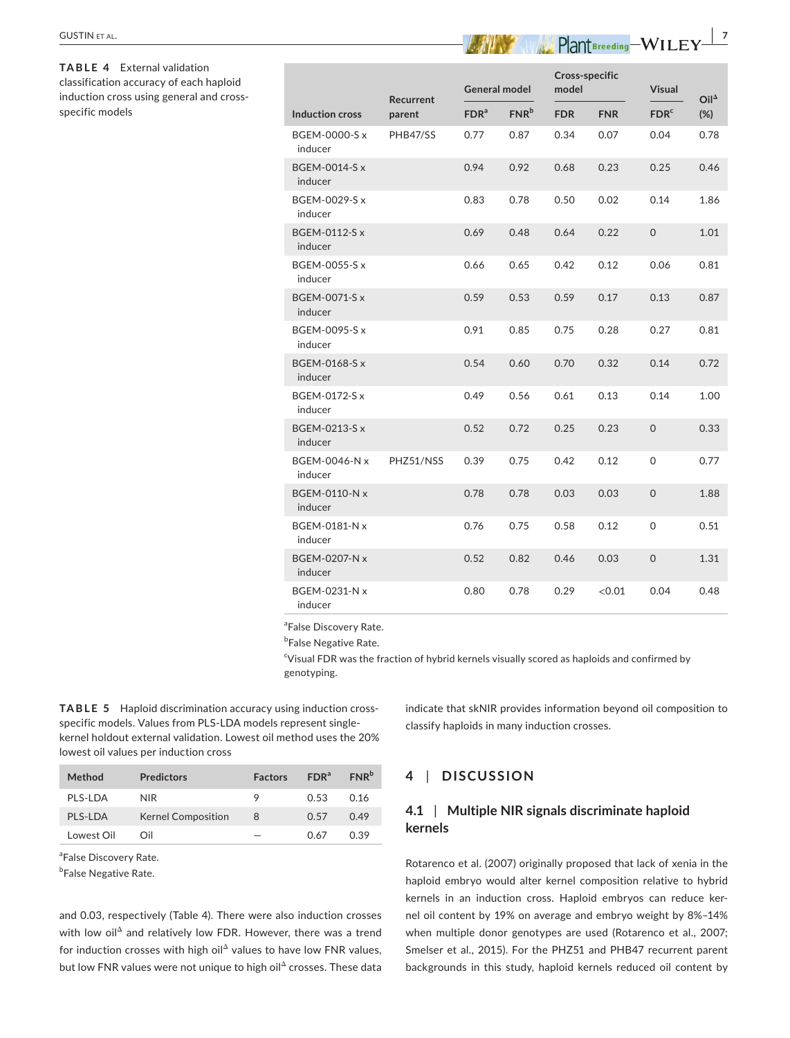| GUSTIN et al.                                                                                                      |                                 |           |                  |                      |            | $Plant$ <sub>Breeding</sub> $-WILEY$ <sup>7</sup> |                     |                |
|--------------------------------------------------------------------------------------------------------------------|---------------------------------|-----------|------------------|----------------------|------------|---------------------------------------------------|---------------------|----------------|
| TABLE 4 External validation<br>classification accuracy of each haploid<br>induction cross using general and cross- |                                 | Recurrent |                  | <b>General model</b> |            | Cross-specific<br>model                           |                     | $Oil^{\Delta}$ |
| specific models                                                                                                    | <b>Induction cross</b>          | parent    | FDR <sup>a</sup> | FNR <sup>b</sup>     | <b>FDR</b> | <b>FNR</b>                                        | FDR <sup>c</sup>    | $(\%)$         |
|                                                                                                                    | BGEM-0000-S x<br>inducer        | PHB47/SS  | 0.77             | 0.87                 | 0.34       | 0.07                                              | 0.04                | 0.78           |
|                                                                                                                    | <b>BGEM-0014-S x</b><br>inducer |           | 0.94             | 0.92                 | 0.68       | 0.23                                              | 0.25                | 0.46           |
|                                                                                                                    | BGEM-0029-S x<br>inducer        |           | 0.83             | 0.78                 | 0.50       | 0.02                                              | 0.14                | 1.86           |
|                                                                                                                    | <b>BGEM-0112-S x</b><br>inducer |           | 0.69             | 0.48                 | 0.64       | 0.22                                              | 0                   | 1.01           |
|                                                                                                                    | <b>BGEM-0055-S x</b><br>inducer |           | 0.66             | 0.65                 | 0.42       | 0.12                                              | 0.06                | 0.81           |
|                                                                                                                    | <b>BGEM-0071-S x</b><br>inducer |           | 0.59             | 0.53                 | 0.59       | 0.17                                              | 0.13                | 0.87           |
|                                                                                                                    | BGEM-0095-S x<br>inducer        |           | 0.91             | 0.85                 | 0.75       | 0.28                                              | 0.27                | 0.81           |
|                                                                                                                    | <b>BGEM-0168-S x</b><br>inducer |           | 0.54             | 0.60                 | 0.70       | 0.32                                              | 0.14                | 0.72           |
|                                                                                                                    | BGEM-0172-S x<br>inducer        |           | 0.49             | 0.56                 | 0.61       | 0.13                                              | 0.14                | 1.00           |
|                                                                                                                    | BGEM-0213-S x<br>inducer        |           | 0.52             | 0.72                 | 0.25       | 0.23                                              | $\mathsf{O}\xspace$ | 0.33           |
|                                                                                                                    | BGEM-0046-N x<br>inducer        | PHZ51/NSS | 0.39             | 0.75                 | 0.42       | 0.12                                              | 0                   | 0.77           |
|                                                                                                                    | <b>BGEM-0110-N x</b><br>inducer |           | 0.78             | 0.78                 | 0.03       | 0.03                                              | 0                   | 1.88           |
|                                                                                                                    | BGEM-0181-N x<br>inducer        |           | 0.76             | 0.75                 | 0.58       | 0.12                                              | 0                   | 0.51           |
|                                                                                                                    | BGEM-0207-N x<br>inducer        |           | 0.52             | 0.82                 | 0.46       | 0.03                                              | 0                   | 1.31           |
|                                                                                                                    | BGEM-0231-N x<br>inducer        |           | 0.80             | 0.78                 | 0.29       | < 0.01                                            | 0.04                | 0.48           |
|                                                                                                                    |                                 |           |                  |                      |            |                                                   |                     |                |

<sup>a</sup>False Discovery Rate.

<sup>b</sup>False Negative Rate.

<sup>c</sup>Visual FDR was the fraction of hybrid kernels visually scored as haploids and confirmed by genotyping.

**TABLE 5** Haploid discrimination accuracy using induction crossspecific models. Values from PLS-LDA models represent singlekernel holdout external validation. Lowest oil method uses the 20% lowest oil values per induction cross

| Method      | <b>Predictors</b>         | <b>Factors</b> | FDR <sup>a</sup> | FNR <sup>b</sup> |
|-------------|---------------------------|----------------|------------------|------------------|
| PI S-I DA   | NIR.                      | 9              | 0.53             | O 16             |
| PLS-LDA     | <b>Kernel Composition</b> | 8              | 0.57             | 0.49             |
| I owest Oil | ∩il                       |                | በ 67             | 0.39             |

<sup>a</sup>False Discovery Rate.

<sup>b</sup>False Negative Rate.

and 0.03, respectively (Table 4). There were also induction crosses with low oil<sup>Δ</sup> and relatively low FDR. However, there was a trend for induction crosses with high oil<sup> $\Delta$ </sup> values to have low FNR values, but low FNR values were not unique to high oil<sup>Δ</sup> crosses. These data

indicate that skNIR provides information beyond oil composition to classify haploids in many induction crosses.

# **4** | **DISCUSSION**

# **4.1** | **Multiple NIR signals discriminate haploid kernels**

Rotarenco et al. (2007) originally proposed that lack of xenia in the haploid embryo would alter kernel composition relative to hybrid kernels in an induction cross. Haploid embryos can reduce kernel oil content by 19% on average and embryo weight by 8%–14% when multiple donor genotypes are used (Rotarenco et al., 2007; Smelser et al., 2015). For the PHZ51 and PHB47 recurrent parent backgrounds in this study, haploid kernels reduced oil content by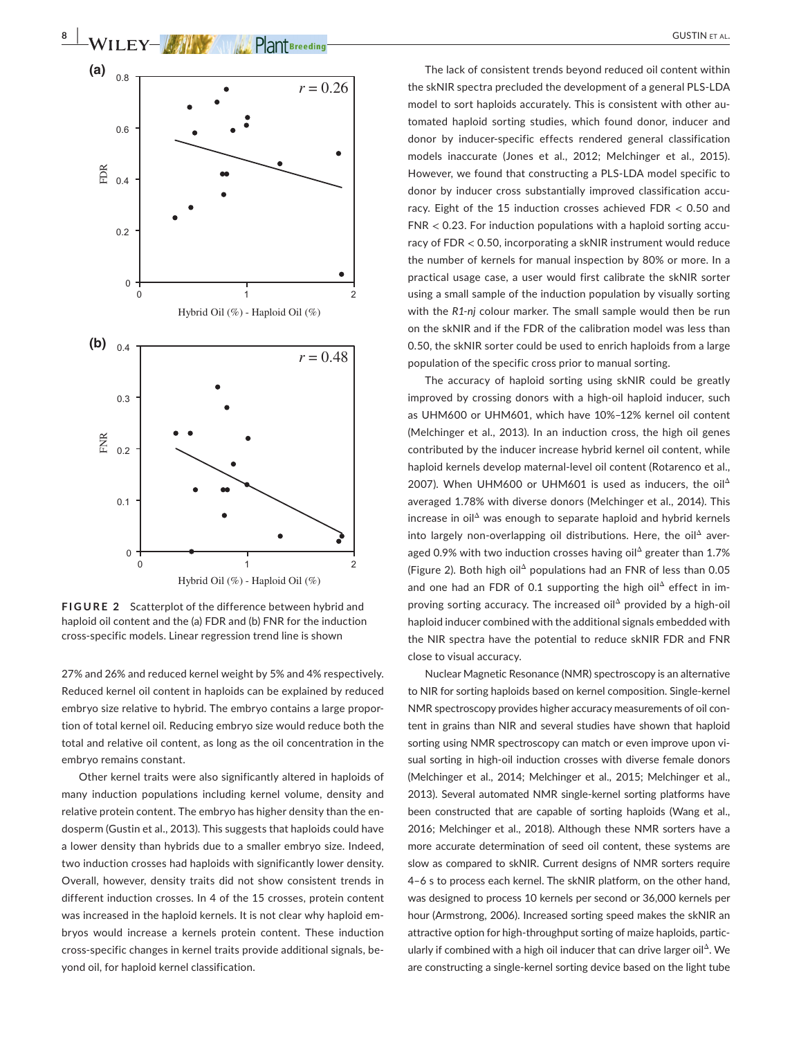

**FIGURE 2** Scatterplot of the difference between hybrid and haploid oil content and the (a) FDR and (b) FNR for the induction cross-specific models. Linear regression trend line is shown

27% and 26% and reduced kernel weight by 5% and 4% respectively. Reduced kernel oil content in haploids can be explained by reduced embryo size relative to hybrid. The embryo contains a large proportion of total kernel oil. Reducing embryo size would reduce both the total and relative oil content, as long as the oil concentration in the embryo remains constant.

Other kernel traits were also significantly altered in haploids of many induction populations including kernel volume, density and relative protein content. The embryo has higher density than the endosperm (Gustin et al., 2013). This suggests that haploids could have a lower density than hybrids due to a smaller embryo size. Indeed, two induction crosses had haploids with significantly lower density. Overall, however, density traits did not show consistent trends in different induction crosses. In 4 of the 15 crosses, protein content was increased in the haploid kernels. It is not clear why haploid embryos would increase a kernels protein content. These induction cross-specific changes in kernel traits provide additional signals, beyond oil, for haploid kernel classification.

The lack of consistent trends beyond reduced oil content within the skNIR spectra precluded the development of a general PLS-LDA model to sort haploids accurately. This is consistent with other automated haploid sorting studies, which found donor, inducer and donor by inducer-specific effects rendered general classification models inaccurate (Jones et al., 2012; Melchinger et al., 2015). However, we found that constructing a PLS-LDA model specific to donor by inducer cross substantially improved classification accuracy. Eight of the 15 induction crosses achieved FDR < 0.50 and FNR < 0.23. For induction populations with a haploid sorting accuracy of FDR < 0.50, incorporating a skNIR instrument would reduce the number of kernels for manual inspection by 80% or more. In a practical usage case, a user would first calibrate the skNIR sorter using a small sample of the induction population by visually sorting with the *R1-nj* colour marker. The small sample would then be run on the skNIR and if the FDR of the calibration model was less than 0.50, the skNIR sorter could be used to enrich haploids from a large population of the specific cross prior to manual sorting.

The accuracy of haploid sorting using skNIR could be greatly improved by crossing donors with a high-oil haploid inducer, such as UHM600 or UHM601, which have 10%–12% kernel oil content (Melchinger et al., 2013). In an induction cross, the high oil genes contributed by the inducer increase hybrid kernel oil content, while haploid kernels develop maternal-level oil content (Rotarenco et al., 2007). When UHM600 or UHM601 is used as inducers, the oil $^{\Delta}$ averaged 1.78% with diverse donors (Melchinger et al., 2014). This increase in oil $\Delta$  was enough to separate haploid and hybrid kernels into largely non-overlapping oil distributions. Here, the oil $\triangle$  averaged 0.9% with two induction crosses having oil<sup> $\triangle$ </sup> greater than 1.7% (Figure 2). Both high oilΔ populations had an FNR of less than 0.05 and one had an FDR of 0.1 supporting the high oil<sup> $\triangle$ </sup> effect in improving sorting accuracy. The increased oil $^{\Delta}$  provided by a high-oil haploid inducer combined with the additional signals embedded with the NIR spectra have the potential to reduce skNIR FDR and FNR close to visual accuracy.

Nuclear Magnetic Resonance (NMR) spectroscopy is an alternative to NIR for sorting haploids based on kernel composition. Single-kernel NMR spectroscopy provides higher accuracy measurements of oil content in grains than NIR and several studies have shown that haploid sorting using NMR spectroscopy can match or even improve upon visual sorting in high-oil induction crosses with diverse female donors (Melchinger et al., 2014; Melchinger et al., 2015; Melchinger et al., 2013). Several automated NMR single-kernel sorting platforms have been constructed that are capable of sorting haploids (Wang et al., 2016; Melchinger et al., 2018). Although these NMR sorters have a more accurate determination of seed oil content, these systems are slow as compared to skNIR. Current designs of NMR sorters require 4–6 s to process each kernel. The skNIR platform, on the other hand, was designed to process 10 kernels per second or 36,000 kernels per hour (Armstrong, 2006). Increased sorting speed makes the skNIR an attractive option for high-throughput sorting of maize haploids, particularly if combined with a high oil inducer that can drive larger oil<sup>Δ</sup>. We are constructing a single-kernel sorting device based on the light tube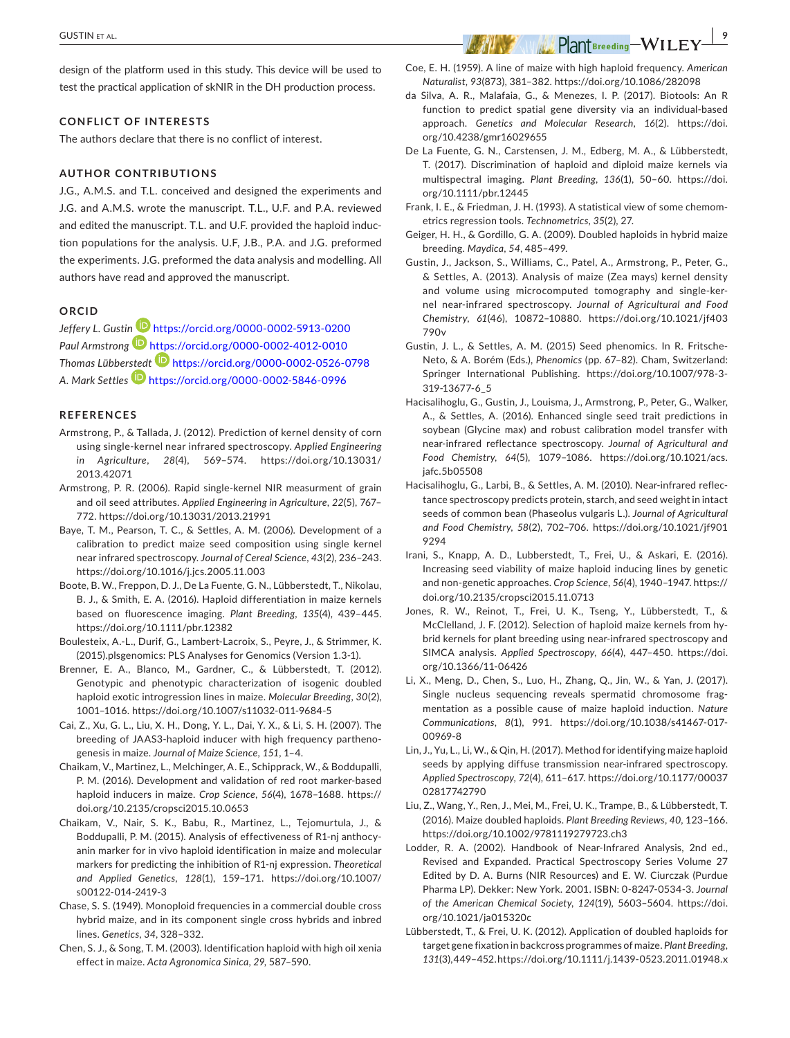design of the platform used in this study. This device will be used to test the practical application of skNIR in the DH production process.

#### **CONFLICT OF INTERESTS**

The authors declare that there is no conflict of interest.

#### **AUTHOR CONTRIBUTIONS**

J.G., A.M.S. and T.L. conceived and designed the experiments and J.G. and A.M.S. wrote the manuscript. T.L., U.F. and P.A. reviewed and edited the manuscript. T.L. and U.F. provided the haploid induction populations for the analysis. U.F, J.B., P.A. and J.G. preformed the experiments. J.G. preformed the data analysis and modelling. All authors have read and approved the manuscript.

#### **ORCID**

*Jeffery L. Gusti[n](https://orcid.org/0000-0002-4012-0010)* <https://orcid.org/0000-0002-5913-0200> *Paul Armstrong* <https://orcid.org/0000-0002-4012-0010> *Thomas Lübbe[rstedt](https://orcid.org/0000-0002-5846-0996)* <https://orcid.org/0000-0002-0526-0798> *A. Mark Settles* <https://orcid.org/0000-0002-5846-0996>

#### **REFERENCES**

- Armstrong, P., & Tallada, J. (2012). Prediction of kernel density of corn using single-kernel near infrared spectroscopy. *Applied Engineering in Agriculture*, *28*(4), 569–574. [https://doi.org/10.13031/](https://doi.org/10.13031/2013.42071) [2013.42071](https://doi.org/10.13031/2013.42071)
- Armstrong, P. R. (2006). Rapid single-kernel NIR measurment of grain and oil seed attributes. *Applied Engineering in Agriculture*, *22*(5), 767– 772. <https://doi.org/10.13031/2013.21991>
- Baye, T. M., Pearson, T. C., & Settles, A. M. (2006). Development of a calibration to predict maize seed composition using single kernel near infrared spectroscopy. *Journal of Cereal Science*, *43*(2), 236–243. <https://doi.org/10.1016/j.jcs.2005.11.003>
- Boote, B. W., Freppon, D. J., De La Fuente, G. N., Lübberstedt, T., Nikolau, B. J., & Smith, E. A. (2016). Haploid differentiation in maize kernels based on fluorescence imaging. *Plant Breeding*, *135*(4), 439–445. <https://doi.org/10.1111/pbr.12382>
- Boulesteix, A.-L., Durif, G., Lambert-Lacroix, S., Peyre, J., & Strimmer, K. (2015).plsgenomics: PLS Analyses for Genomics (Version 1.3-1).
- Brenner, E. A., Blanco, M., Gardner, C., & Lübberstedt, T. (2012). Genotypic and phenotypic characterization of isogenic doubled haploid exotic introgression lines in maize. *Molecular Breeding*, *30*(2), 1001–1016. <https://doi.org/10.1007/s11032-011-9684-5>
- Cai, Z., Xu, G. L., Liu, X. H., Dong, Y. L., Dai, Y. X., & Li, S. H. (2007). The breeding of JAAS3-haploid inducer with high frequency parthenogenesis in maize. *Journal of Maize Science*, *151*, 1–4.
- Chaikam, V., Martinez, L., Melchinger, A. E., Schipprack, W., & Boddupalli, P. M. (2016). Development and validation of red root marker-based haploid inducers in maize. *Crop Science*, *56*(4), 1678–1688. [https://](https://doi.org/10.2135/cropsci2015.10.0653) [doi.org/10.2135/cropsci2015.10.0653](https://doi.org/10.2135/cropsci2015.10.0653)
- Chaikam, V., Nair, S. K., Babu, R., Martinez, L., Tejomurtula, J., & Boddupalli, P. M. (2015). Analysis of effectiveness of R1-nj anthocyanin marker for in vivo haploid identification in maize and molecular markers for predicting the inhibition of R1-nj expression. *Theoretical and Applied Genetics*, *128*(1), 159–171. [https://doi.org/10.1007/](https://doi.org/10.1007/s00122-014-2419-3) [s00122-014-2419-3](https://doi.org/10.1007/s00122-014-2419-3)
- Chase, S. S. (1949). Monoploid frequencies in a commercial double cross hybrid maize, and in its component single cross hybrids and inbred lines. *Genetics*, *34*, 328–332.
- Chen, S. J., & Song, T. M. (2003). Identification haploid with high oil xenia effect in maize. *Acta Agronomica Sinica*, *29*, 587–590.
- Coe, E. H. (1959). A line of maize with high haploid frequency. *American Naturalist*, *93*(873), 381–382.<https://doi.org/10.1086/282098>
- da Silva, A. R., Malafaia, G., & Menezes, I. P. (2017). Biotools: An R function to predict spatial gene diversity via an individual-based approach. *Genetics and Molecular Research*, *16*(2). [https://doi.](https://doi.org/10.4238/gmr16029655) [org/10.4238/gmr16029655](https://doi.org/10.4238/gmr16029655)
- De La Fuente, G. N., Carstensen, J. M., Edberg, M. A., & Lübberstedt, T. (2017). Discrimination of haploid and diploid maize kernels via multispectral imaging. *Plant Breeding*, *136*(1), 50–60. [https://doi.](https://doi.org/10.1111/pbr.12445) [org/10.1111/pbr.12445](https://doi.org/10.1111/pbr.12445)
- Frank, I. E., & Friedman, J. H. (1993). A statistical view of some chemometrics regression tools. *Technometrics*, *35*(2), 27.
- Geiger, H. H., & Gordillo, G. A. (2009). Doubled haploids in hybrid maize breeding. *Maydica*, *54*, 485–499.
- Gustin, J., Jackson, S., Williams, C., Patel, A., Armstrong, P., Peter, G., & Settles, A. (2013). Analysis of maize (Zea mays) kernel density and volume using microcomputed tomography and single-kernel near-infrared spectroscopy. *Journal of Agricultural and Food Chemistry*, *61*(46), 10872–10880. [https://doi.org/10.1021/jf403](https://doi.org/10.1021/jf403790v) [790v](https://doi.org/10.1021/jf403790v)
- Gustin, J. L., & Settles, A. M. (2015) Seed phenomics. In R. Fritsche-Neto, & A. Borém (Eds.), *Phenomics* (pp. 67–82). Cham, Switzerland: Springer International Publishing. [https://doi.org/10.1007/978-3-](https://doi.org/10.1007/978-3-319-13677-6_5) [319-13677-6\\_5](https://doi.org/10.1007/978-3-319-13677-6_5)
- Hacisalihoglu, G., Gustin, J., Louisma, J., Armstrong, P., Peter, G., Walker, A., & Settles, A. (2016). Enhanced single seed trait predictions in soybean (Glycine max) and robust calibration model transfer with near-infrared reflectance spectroscopy. *Journal of Agricultural and Food Chemistry*, *64*(5), 1079–1086. [https://doi.org/10.1021/acs.](https://doi.org/10.1021/acs.jafc.5b05508) [jafc.5b05508](https://doi.org/10.1021/acs.jafc.5b05508)
- Hacisalihoglu, G., Larbi, B., & Settles, A. M. (2010). Near-infrared reflectance spectroscopy predicts protein, starch, and seed weight in intact seeds of common bean (Phaseolus vulgaris L.). *Journal of Agricultural and Food Chemistry*, *58*(2), 702–706. [https://doi.org/10.1021/jf901](https://doi.org/10.1021/jf9019294) [9294](https://doi.org/10.1021/jf9019294)
- Irani, S., Knapp, A. D., Lubberstedt, T., Frei, U., & Askari, E. (2016). Increasing seed viability of maize haploid inducing lines by genetic and non-genetic approaches. *Crop Science*, *56*(4), 1940–1947. [https://](https://doi.org/10.2135/cropsci2015.11.0713) [doi.org/10.2135/cropsci2015.11.0713](https://doi.org/10.2135/cropsci2015.11.0713)
- Jones, R. W., Reinot, T., Frei, U. K., Tseng, Y., Lübberstedt, T., & McClelland, J. F. (2012). Selection of haploid maize kernels from hybrid kernels for plant breeding using near-infrared spectroscopy and SIMCA analysis. *Applied Spectroscopy*, *66*(4), 447–450. [https://doi.](https://doi.org/10.1366/11-06426) [org/10.1366/11-06426](https://doi.org/10.1366/11-06426)
- Li, X., Meng, D., Chen, S., Luo, H., Zhang, Q., Jin, W., & Yan, J. (2017). Single nucleus sequencing reveals spermatid chromosome fragmentation as a possible cause of maize haploid induction. *Nature Communications*, *8*(1), 991. [https://doi.org/10.1038/s41467-017-](https://doi.org/10.1038/s41467-017-00969-8) [00969-8](https://doi.org/10.1038/s41467-017-00969-8)
- Lin, J., Yu, L., Li, W., & Qin, H. (2017). Method for identifying maize haploid seeds by applying diffuse transmission near-infrared spectroscopy. *Applied Spectroscopy*, *72*(4), 611–617. [https://doi.org/10.1177/00037](https://doi.org/10.1177/0003702817742790) [02817742790](https://doi.org/10.1177/0003702817742790)
- Liu, Z., Wang, Y., Ren, J., Mei, M., Frei, U. K., Trampe, B., & Lübberstedt, T. (2016). Maize doubled haploids. *Plant Breeding Reviews*, *40*, 123–166. <https://doi.org/10.1002/9781119279723.ch3>
- Lodder, R. A. (2002). Handbook of Near-Infrared Analysis, 2nd ed., Revised and Expanded. Practical Spectroscopy Series Volume 27 Edited by D. A. Burns (NIR Resources) and E. W. Ciurczak (Purdue Pharma LP). Dekker: New York. 2001. ISBN: 0-8247-0534-3. *Journal of the American Chemical Society*, *124*(19), 5603–5604. [https://doi.](https://doi.org/10.1021/ja015320c) [org/10.1021/ja015320c](https://doi.org/10.1021/ja015320c)
- Lübberstedt, T., & Frei, U. K. (2012). Application of doubled haploids for target gene fixation in backcross programmes of maize. *Plant Breeding*, *131*(3), 449–452.<https://doi.org/10.1111/j.1439-0523.2011.01948.x>